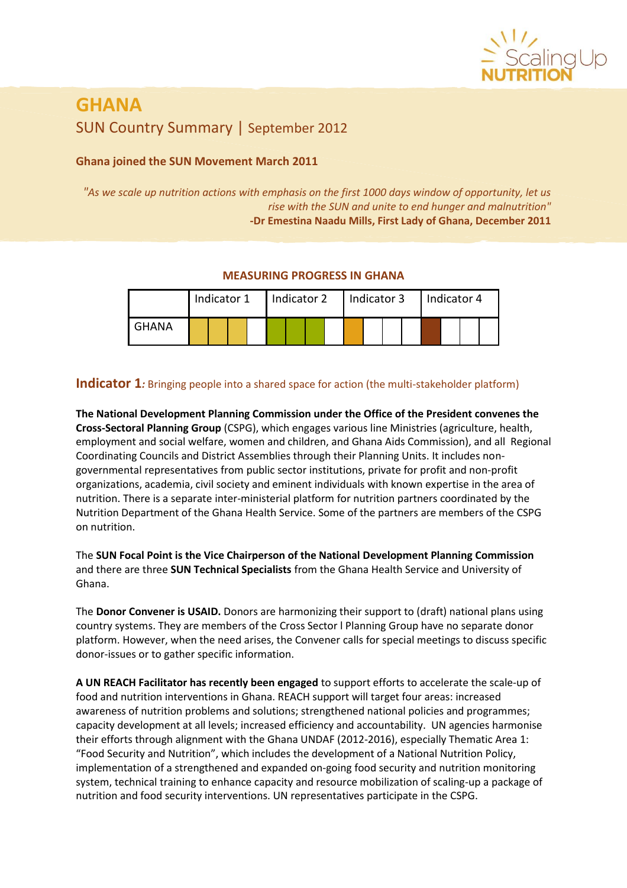

# **GHANA** SUN Country Summary | September 2012

## **Ghana joined the SUN Movement March 2011**

*"As we scale up nutrition actions with emphasis on the first 1000 days window of opportunity, let us rise with the SUN and unite to end hunger and malnutrition"* **-Dr Emestina Naadu Mills, First Lady of Ghana, December 2011**

### **MEASURING PROGRESS IN GHANA**

|       | Indicator 1 |  |  | Indicator 2 |  |  |  | Indicator 3 |  |  |  | Indicator 4 |  |  |  |  |
|-------|-------------|--|--|-------------|--|--|--|-------------|--|--|--|-------------|--|--|--|--|
| GHANA |             |  |  |             |  |  |  |             |  |  |  |             |  |  |  |  |

# **Indicator 1***:* Bringing people into a shared space for action (the multi-stakeholder platform)

**The National Development Planning Commission under the Office of the President convenes the Cross-Sectoral Planning Group** (CSPG), which engages various line Ministries (agriculture, health, employment and social welfare, women and children, and Ghana Aids Commission), and all Regional Coordinating Councils and District Assemblies through their Planning Units. It includes nongovernmental representatives from public sector institutions, private for profit and non-profit organizations, academia, civil society and eminent individuals with known expertise in the area of nutrition. There is a separate inter-ministerial platform for nutrition partners coordinated by the Nutrition Department of the Ghana Health Service. Some of the partners are members of the CSPG on nutrition.

The **SUN Focal Point is the Vice Chairperson of the National Development Planning Commission** and there are three **SUN Technical Specialists** from the Ghana Health Service and University of Ghana.

The **Donor Convener is USAID.** Donors are harmonizing their support to (draft) national plans using country systems. They are members of the Cross Sector l Planning Group have no separate donor platform. However, when the need arises, the Convener calls for special meetings to discuss specific donor-issues or to gather specific information.

**A UN REACH Facilitator has recently been engaged** to support efforts to accelerate the scale-up of food and nutrition interventions in Ghana. REACH support will target four areas: increased awareness of nutrition problems and solutions; strengthened national policies and programmes; capacity development at all levels; increased efficiency and accountability. UN agencies harmonise their efforts through alignment with the Ghana UNDAF (2012-2016), especially Thematic Area 1: "Food Security and Nutrition", which includes the development of a National Nutrition Policy, implementation of a strengthened and expanded on-going food security and nutrition monitoring system, technical training to enhance capacity and resource mobilization of scaling-up a package of nutrition and food security interventions. UN representatives participate in the CSPG.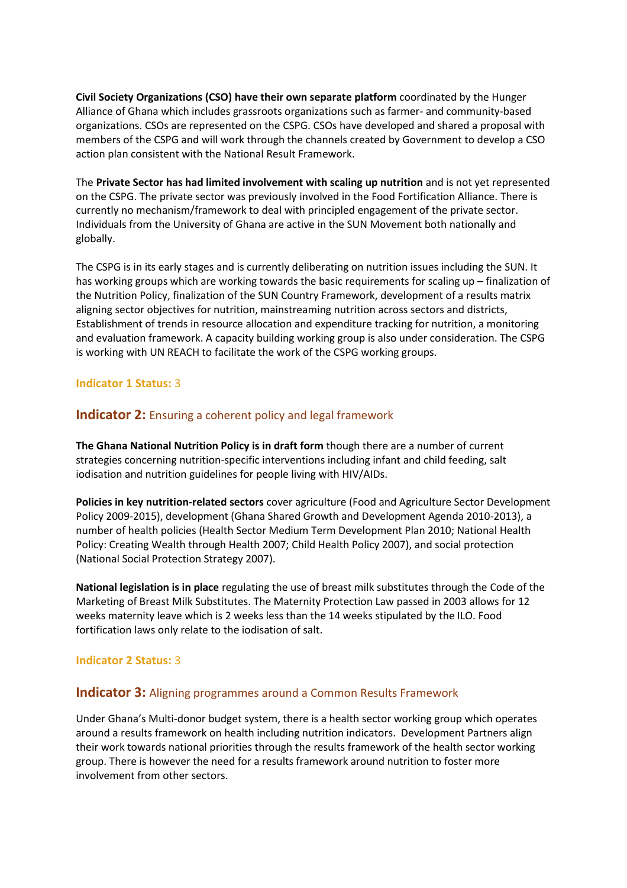**Civil Society Organizations (CSO) have their own separate platform** coordinated by the Hunger Alliance of Ghana which includes grassroots organizations such as farmer- and community-based organizations. CSOs are represented on the CSPG. CSOs have developed and shared a proposal with members of the CSPG and will work through the channels created by Government to develop a CSO action plan consistent with the National Result Framework.

The **Private Sector has had limited involvement with scaling up nutrition** and is not yet represented on the CSPG. The private sector was previously involved in the Food Fortification Alliance. There is currently no mechanism/framework to deal with principled engagement of the private sector. Individuals from the University of Ghana are active in the SUN Movement both nationally and globally.

The CSPG is in its early stages and is currently deliberating on nutrition issues including the SUN. It has working groups which are working towards the basic requirements for scaling up – finalization of the Nutrition Policy, finalization of the SUN Country Framework, development of a results matrix aligning sector objectives for nutrition, mainstreaming nutrition across sectors and districts, Establishment of trends in resource allocation and expenditure tracking for nutrition, a monitoring and evaluation framework. A capacity building working group is also under consideration. The CSPG is working with UN REACH to facilitate the work of the CSPG working groups.

#### **Indicator 1 Status:** 3

# **Indicator 2:** Ensuring a coherent policy and legal framework

**The Ghana National Nutrition Policy is in draft form** though there are a number of current strategies concerning nutrition-specific interventions including infant and child feeding, salt iodisation and nutrition guidelines for people living with HIV/AIDs.

**Policies in key nutrition-related sectors** cover agriculture (Food and Agriculture Sector Development Policy 2009-2015), development (Ghana Shared Growth and Development Agenda 2010-2013), a number of health policies (Health Sector Medium Term Development Plan 2010; National Health Policy: Creating Wealth through Health 2007; Child Health Policy 2007), and social protection (National Social Protection Strategy 2007).

**National legislation is in place** regulating the use of breast milk substitutes through the Code of the Marketing of Breast Milk Substitutes. The Maternity Protection Law passed in 2003 allows for 12 weeks maternity leave which is 2 weeks less than the 14 weeks stipulated by the ILO. Food fortification laws only relate to the iodisation of salt.

#### **Indicator 2 Status:** 3

#### **Indicator 3:** Aligning programmes around a Common Results Framework

Under Ghana's Multi-donor budget system, there is a health sector working group which operates around a results framework on health including nutrition indicators. Development Partners align their work towards national priorities through the results framework of the health sector working group. There is however the need for a results framework around nutrition to foster more involvement from other sectors.